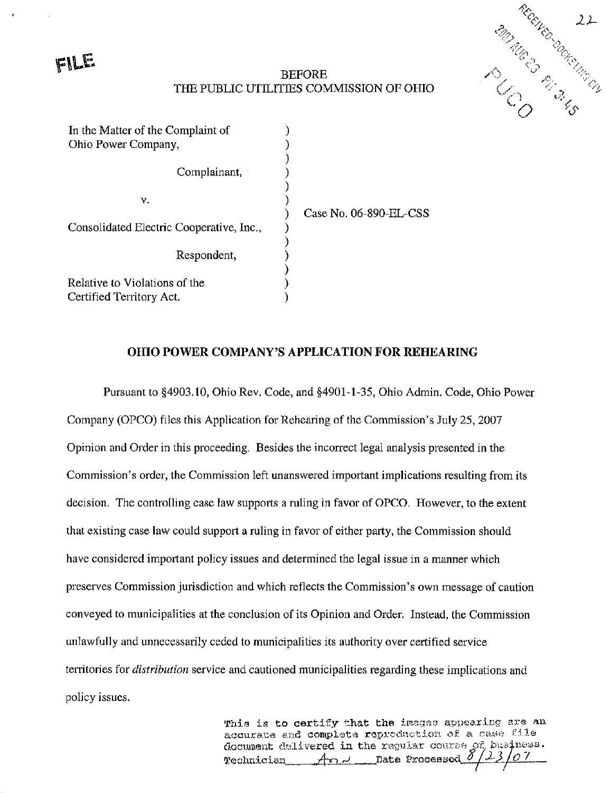FILE



### BEFORE THE PUBLIC UTILITIES COMMISSION OF OHIO

| In the Matter of the Complaint of        |  |
|------------------------------------------|--|
| Ohio Power Company,                      |  |
|                                          |  |
| Complainant,                             |  |
|                                          |  |
| ٧.                                       |  |
|                                          |  |
| Consolidated Electric Cooperative, Inc., |  |
|                                          |  |
| Respondent,                              |  |
|                                          |  |
| Relative to Violations of the            |  |
| Certified Territory Act.                 |  |

Case No. 06-890-EL-CSS

#### OHIO POWER COMPANY'S APPLICATION FOR REHEARING

Pursuant to §4903.10, Ohio Rev. Code, and §4901-1-35, Ohio Admin. Code, Ohio Power Company (OPCO) files this Application for Rehearing of the Commission's July 25, 2007 Opinion and Order in this proceeding. Besides the incorrect legal analysis presented in the Commission's order, the Commission left unanswered important implications resulting from its decision. The controlling case law supports a ruling in favor of OPCO. However, to the extent that existing case law could support a ruling in favor of either party, the Commission should have considered important policy issues and determined the legal issue in a manner which preserves Commission jurisdiction and which reflects the Commission's own message of caution conveyed to municipalities at the conclusion of its Opinion and Order. Instead, the Commission unlawfully and unnecessarily ceded to municipalities its authority over certified service territories for *distribution* service and cautioned municipalities regarding these implications and policy issues.

> This is to certify that the images appearing are an accurate and complets reproduction of a case  ${\rm file}$ document delivered in the regular course of business.  $\mathcal{F}$ echnician An J Date Processed  $\frac{\partial f}{\partial \rho}$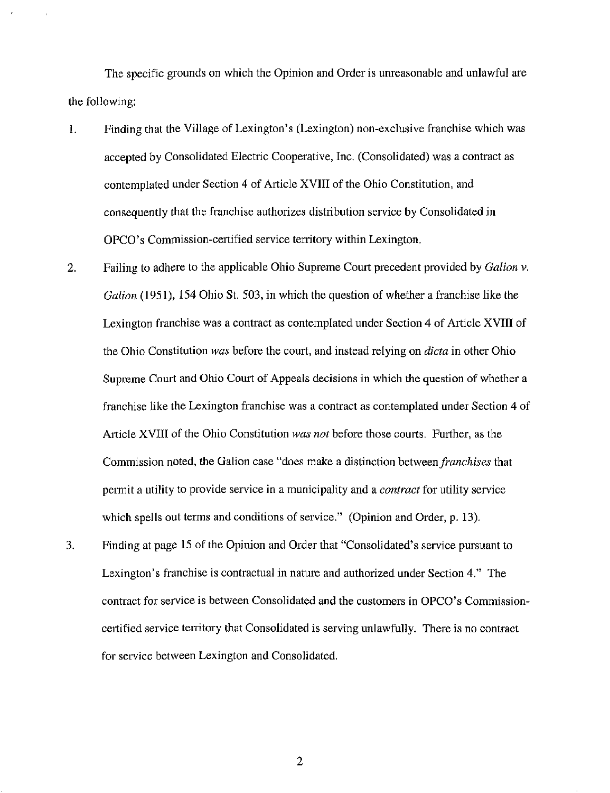The specific grounds on which the Opinion and Order is unreasonable and unlawful are the following:

- 1. Finding that the Village of Lexington's (Lexington) non-exclusive franchise which was accepted by Consolidated Electric Cooperative, Inc. (Consolidated) was a contract as contemplated under Section 4 of Article XVIII of the Ohio Constitution, and consequently that the franchise authorizes distribution service by Consolidated in OPCO's Commission-certified service territory within Lexington.
- 2. Failing to adhere to the applicable Ohio Supreme Court precedent provided by *Galion v*. Galion (1951), 154 Ohio St. 503, in which the question of whether a franchise like the Lexington franchise was a contract as contemplated under Section 4 of Article XVIII of the Ohio Constitution was before the court, and instead relying on *dicta* in other Ohio Supreme Court and Ohio Court of Appeals decisions in which the question of whether a franchise like the Lexington franchise was a contract as contemplated under Section 4 of Article XVIII of the Ohio Constitution was not before those courts. Further, as the Commission noted, the Galion case "does make a distinction between *franchises* that permit a utility to provide service in a municipality and a *contract* for utility service which spells out terms and conditions of service." (Opinion and Order, p. 13).
- 3. Finding at page 15 of the Opinion and Order that "Consolidated's service pursuant to Lexington's franchise is contractual in nature and authorized under Section 4." The contract for service is between Consolidated and the customers in OPCO's Commissioncertified service tenitory that Consolidated is serving unlawfully. There is no contract for service between Lexington and Consolidated.

 $\overline{2}$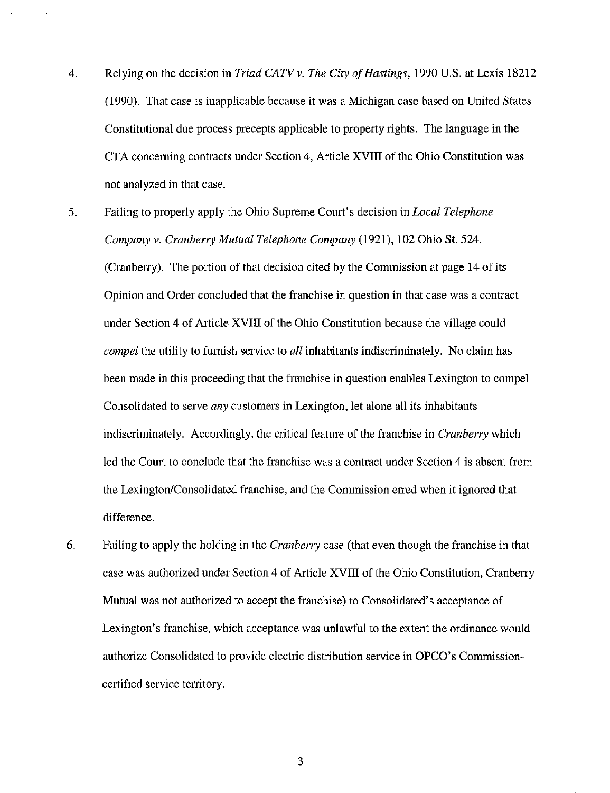- 4. Relying on the decision in Triad CATV v. The City of Hastings, 1990 U.S. at Lexis 18212 (1990). That case is inapplicable because it was a Michigan case based on United States Constitutional due process precepts applicable to property rights. The language in the CTA conceming contracts under Section 4, Article XVIII of the Ohio Constitution was not analyzed in that case.
- 5. Failing to properly apply the Ohio Supreme Court's decision in Local Telephone Company v. Cranberry Mutual Telephone Company (1921), 102 Ohio St. 524. (Cranberry). The portion of that decision cited by the Commission at page 14 of its Opinion and Order concluded that the franchise in question in that case was a contract under Section 4 of Article XVIII of the Ohio Constitution because the village could compel the utility to furnish service to all inhabitants indiscriminately. No claim has been made in this proceeding that the franchise in question enables Lexington to compel Consolidated to serve any customers in Lexington, let alone all its inhabitants indiscriminately. Accordingly, the critical feature of the franchise in *Cranberry* which led the Court to conclude that the franchise was a contract under Section 4 is absent from the Lexington/Consolidated franchise, and the Commission erred when it ignored that difference.
- 6. Failing to apply the holding in the Cranberry case (that even though the franchise in that case was authorized under Section 4 of Article XVIII of the Ohio Constitution, Cranberry Mutual was not authorized to accept the franchise) to Consolidated's acceptance of Lexington's franchise, which acceptance was unlawful to the extent the ordinance would authorize Consolidated to provide electric distribution service in OPCO's Commissioncertified service territory.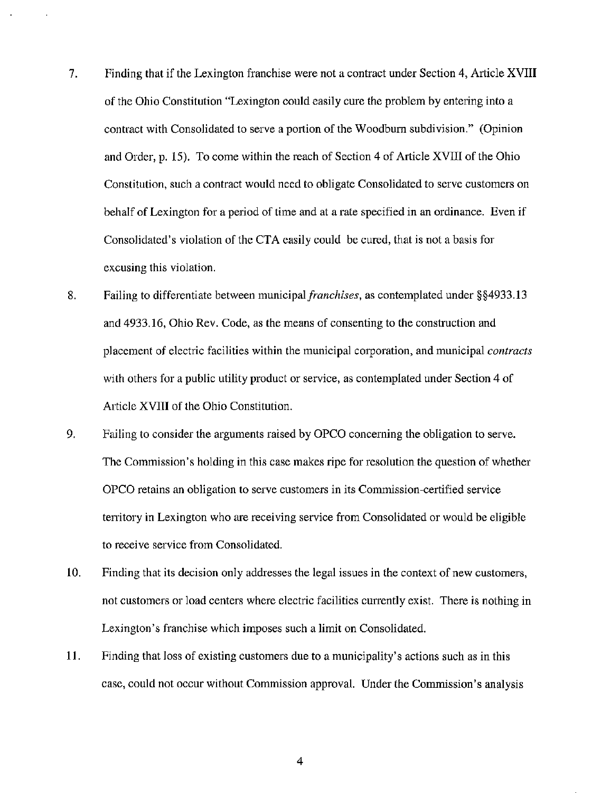- 7. Finding that if the Lexington franchise were not a contract under Section 4, Article XVIII of the Ohio Constitution "Lexington could easily cure the problem by entering into a contract with Consolidated to serve a portion of the Woodbum subdivision." (Opinion and Order, p. 15). To come within the reach of Section 4 of Article XVIII of the Ohio Constitution, such a contract would need to obligate Consolidated to serve customers on behalf of Lexington for a period of time and at a rate specified in an ordinance. Even if Consolidated's violation of the CTA easily could be cured, that is not a basis for excusing this violation.
- 8. Failing to differentiate between municipal franchises, as contemplated under §§4933.13 and 4933.16, Ohio Rev. Code, as the means of consenting to the construction and placement of electric facilities within the municipal corporation, and municipal contracts with others for a public utility product or service, as contemplated under Section 4 of Article XVIII of the Ohio Constitution.
- 9. Failing to consider the arguments raised by OPCO conceming the obligation to serve. The Commission's holding in this case makes ripe for resolution the question of whether OPCO retains an obligation to serve customers in its Conunission-certified service territory in Lexington who are receiving service from Consolidated or would be eligible to receive service from Consolidated.
- 10. Finding that its decision only addresses the legal issues in the context of new customers, not customers or load centers where electric facilities currentiy exist. There is nothing in Lexington's franchise which imposes such a limit on Consolidated.
- 11. Finding that loss of existing customers due to a municipality's actions such as in this case, could not occur without Commission approval. Under the Commission's analysis

 $\overline{\mathbf{4}}$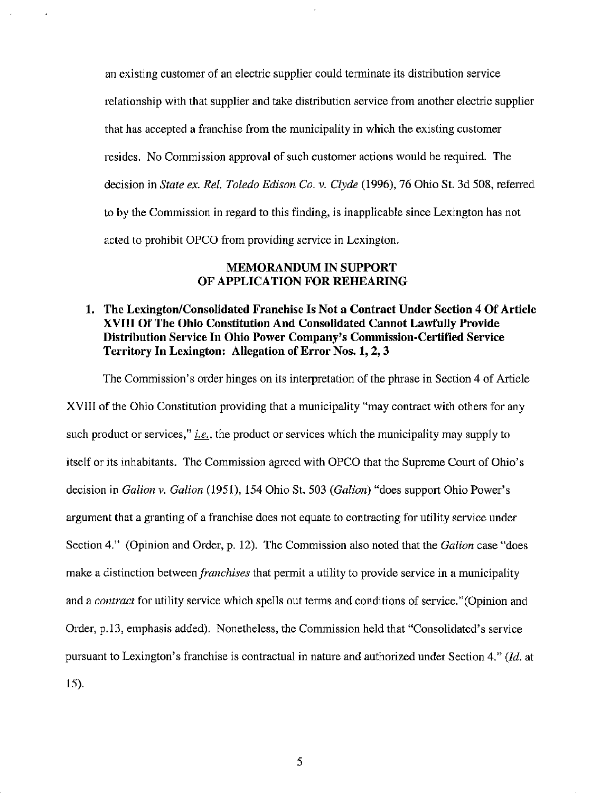an existing customer of an electric supplier could terminate its distribution service relationship with that supplier and take distribution service from another electric supplier that has accepted a franchise from the municipality in which the existing customer resides. No Commission approval of such customer actions would be required. The decision in State ex. Ret. Toledo Edison Co. v. Clyde (1996), 76 Ohio St. 3d 508, referred to by the Commission in regard to this finding, is inapplicable since Lexington has not acted to prohibit OPCO from providing service in Lexington.

### MEMORANDUM IN SUPPORT OF APPLICATION FOR REHEARING

# 1. The Lexington/Consolidated Franchise Is Not a Contract Under Section 4 Of Article XVIII Of The Ohio Constitution And Consolidated Cannot Lawfully Provide Distribution Service In Ohio Power Company's Commission-Certified Service Territory In Lexington: Allegation of Error Nos. 1, 2, 3

The Commission's order hinges on its interpretation of the phrase in Section 4 of Article XVIII of the Ohio Constitution providing that a municipality "may contract with others for any such product or services," *i.e.*, the product or services which the municipality may supply to itself or its inhabitants. The Commission agreed with OPCO that the Supreme Court of Ohio's decision in Galion v. Galion (1951), 154 Ohio St. 503 (Galion) "does support Ohio Power's argument that a granting of a franchise does not equate to contracting for utility service under Section 4." (Opinion and Order, p. 12). The Commission also noted that the Galion case "does make a distinction between *franchises* that permit a utility to provide service in a municipality and a contract for utility service which spells out terms and conditions of service."(Opinion and Order, p.13, emphasis added). Nonetheless, the Commission held that "Consolidated's service pursuant to Lexington's franchise is contractual in nature and authorized under Section 4."  $(id.$  at 15).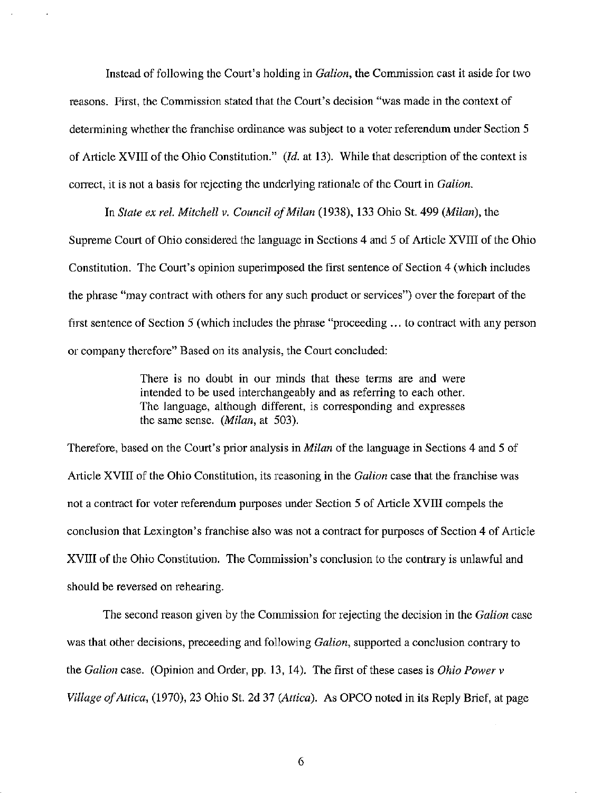Instead of following the Court's holding in Galion, the Commission cast it aside for two reasons. First, the Commission stated that the Court's decision "was made in the context of determining whether the franchise ordinance was subject to a voter referendum under Section 5 of Article XVIII of the Ohio Constitution." (Id. at 13). While that description of the context is correct, it is not a basis for rejecting the underlying rationale of the Court in Galion.

In State ex rel. Mitchell v. Council of Milan (1938), 133 Ohio St. 499 (Milan), the Supreme Court of Ohio considered the language in Sections 4 and 5 of Article XVIII of the Ohio Constitution. The Court's opinion superimposed the first sentence of Section 4 (which includes the phrase "may contract with others for any such product or services") over the forepart of the first sentence of Section 5 (which includes the phrase "proceeding ... to contract with any person or company therefore" Based on its analysis, the Court concluded:

> There is no doubt in our minds that these terms are and were intended to be used interchangeably and as referring to each other. The language, although different, is corresponding and expresses the same sense. (Milan, at 503).

Therefore, based on the Court's prior analysis in *Milan* of the language in Sections 4 and 5 of Article XVIII of the Ohio Constitution, its reasoning in the Galion case that the franchise was not a contract for voter referendum purposes under Section 5 of Article XVIII compels the conclusion that Lexington's franchise also was not a contract for purposes of Section 4 of Article XVIII of the Ohio Constitution. The Commission's conclusion to the contrary is unlawful and should be reversed on rehearing.

The second reason given by the Commission for rejecting the decision in the *Galion* case was that other decisions, preceeding and following Galion, supported a conclusion contrary to the Galion case. (Opinion and Order, pp. 13, 14). The first of these cases is Ohio Power  $v$ Village of Attica, (1970), 23 Ohio St. 2d 37 (Attica). As OPCO noted in its Reply Brief, at page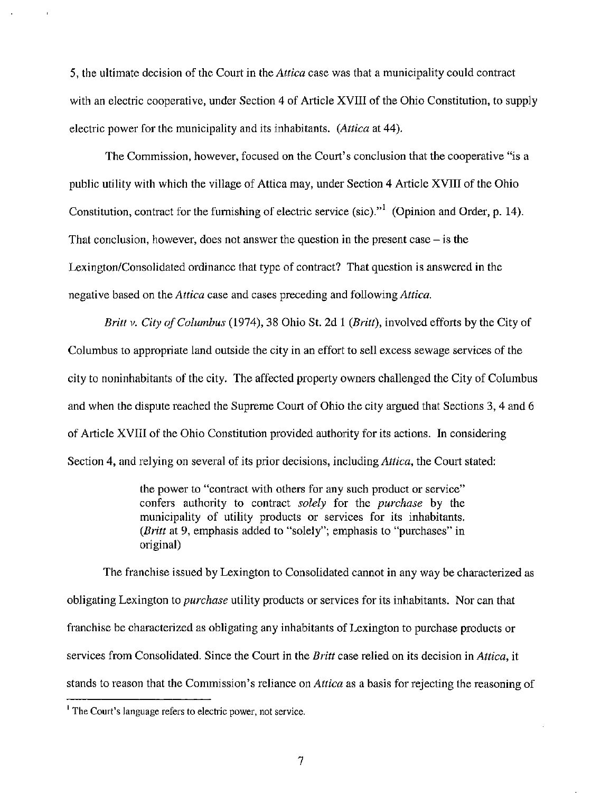5, the ultimate decision of the Court in the Attica case was that a municipality could contract with an electric cooperative, under Section 4 of Article XVIII of the Ohio Constitution, to supply electric power for the municipality and its inhabitants. (*Attica* at 44).

The Commission, however, focused on the Court's conclusion that the cooperative "is a public utility with which the village of Attica may, under Section 4 Article XVIII of the Ohio Constitution, contract for the furnishing of electric service (sic).<sup> $n$ </sup> (Opinion and Order, p. 14). That conclusion, however, does not answer the question in the present case  $-$  is the Lexington/Consolidated ordinance that type of contract? That question is answered in the negative based on the Attica case and cases preceding and following Attica.

Britt v. City of Columbus (1974), 38 Ohio St. 2d 1 (Britt), involved efforts by the City of Columbus to appropriate land outside the city in an effort to sell excess sewage services of the city to noninhabitants of the city. The affected property owners challenged the City of Columbus and when the dispute reached the Supreme Court of Ohio the city argued that Sections 3, 4 and 6 of Article XVIII of the Ohio Constitution provided authority for its actions. In considering Section 4, and relying on several of its prior decisions, including *Attica*, the Court stated:

> the power to "contract with others for any such product or service" confers authority to contract solely for the purchase by the municipality of utility products or services for its inhabitants. (Britt at 9, emphasis added to "solely"; emphasis to "purchases" in original)

The franchise issued by Lexington to Consolidated cannot in any way be characterized as obligating Lexington to *purchase* utility products or services for its inhabitants. Nor can that franchise be characterized as obligating any inhabitants of Lexington to purchase products or services from Consolidated. Since the Court in the Britt case relied on its decision in Attica, it stands to reason that the Commission's reliance on *Attica* as a basis for rejecting the reasoning of

<sup>&#</sup>x27; The Court's language refers to electric power, not service.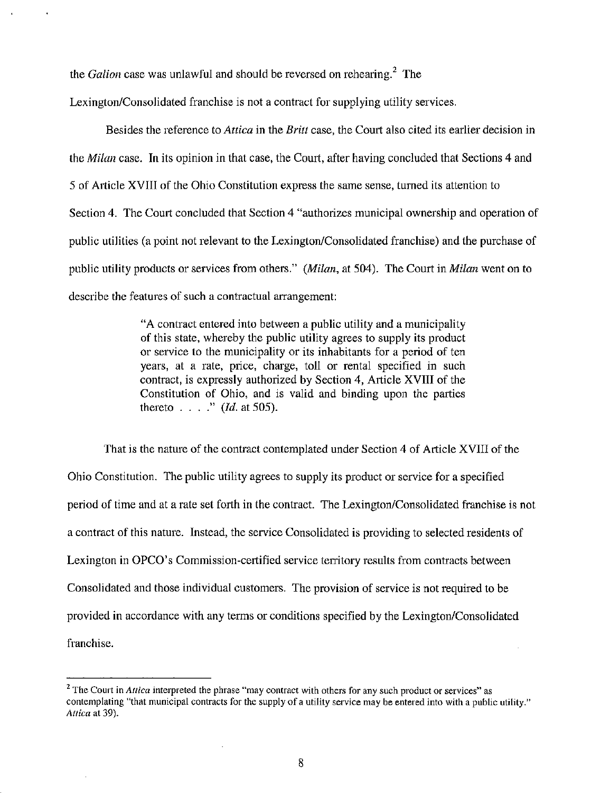the *Galion* case was unlawful and should be reversed on rehearing.<sup>2</sup> The

Lexington/Consolidated franchise is not a contract for supplying utility services.

Besides the reference to *Attica* in the *Britt* case, the Court also cited its earlier decision in the *Milan* case. In its opinion in that case, the Court, after having concluded that Sections 4 and 5 of Article XVIII of the Ohio Constitution express the same sense, tumed its attention to Section 4. The Court concluded that Section 4 "authorizes municipal ownership and operation of public utilities (a point not relevant to the Lexington/Consolidated franchise) and the purchase of public utility products or services from others." (Milan, at 504). The Court in Milan went on to describe the features of such a contractual arrangement:

> "A contract entered into between a public utility and a municipality of this state, whereby the public utility agrees to supply its product or service to the municipality or its inhabitants for a period of ten years, at a rate, price, charge, toll or rental specified in such contract, is expressly authorized by Section 4, Article XVIII of the Constitution of Ohio, and is valid and binding upon the parties thereto  $\ldots$  ." (*Id.* at 505).

That is the nature of the contract contemplated under Section 4 of Article XVIII of the Ohio Constitution. The public utility agrees to supply its product or service for a specified period of time and at a rate set forth in the contract. The Lexington/Consolidated franchise is not a contract of this nature. Instead, the service Consolidated is providing to selected residents of Lexington in OPCO's Commission-certified service territory results from contracts between Consolidated and those individual customers. The provision of service is not required to be provided in accordance with any terms or conditions specified by the Lexington/Consolidated franchise.

 $2$  The Court in Attica interpreted the phrase "may contract with others for any such product or services" as contemplating "that municipal contracts for the supply of a utility service may be entered into with a public utility." Attica at 39).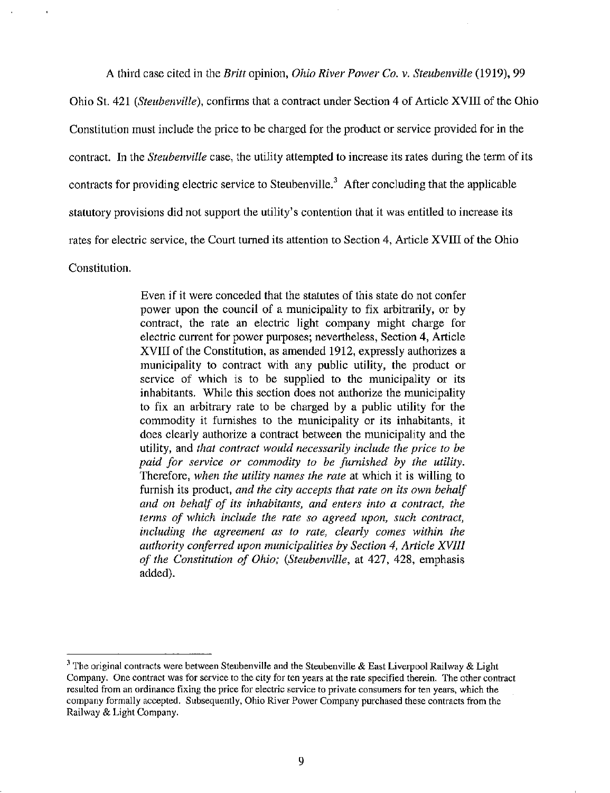A third case cited in the Britt opinion, *Ohio River Power Co. v. Steubenville* (1919), 99

Ohio St. 421 (Steubenville), confirms that a contract under Section 4 of Article XVIII of the Ohio Constitution must include the price to be charged for the product or service provided for in the contract. In the Steubenville case, the utility attempted to increase its rates during the term of its contracts for providing electric service to Steubenville.<sup>3</sup> After concluding that the applicable statutory provisions did not support the utility's contention that it was entitled to increase its rates for electric service, the Court tumed its attention to Section 4, Article XVIII of the Ohio Constitution.

> Even if it were conceded that the statutes of this state do not confer power upon the council of a municipality to fix arbitrarily, or by contract, the rate an electric light company might charge for electric current for power purposes; nevertheless, Section 4, Article XVIII of the Constitution, as amended 1912, expressly authorizes a municipality to contract with any public utility, the product or service of which is to be supplied to the municipality or its inhabitants. While this section does not authorize the municipality to fix an arbitrary rate to be charged by a public utility for the commodity it furnishes to the municipality or its inhabitants, it does clearly authorize a contract between the municipality and the utility, and that contract would necessarily include the price to be paid for service or commodity to be furnished by the utility. Therefore, when the utility names the rate at which it is willing to furnish its product, and the city accepts that rate on its own behalf and on behalf of its inhabitants, and enters into a contract, the terms of which include the rate so agreed upon, such contract, including the agreement as to rate, clearly comes within the authority conferred upon municipalities by Section 4, Article XVIII of the Constitution of Ohio; (Steubenville, at 427, 428, emphasis added).

<sup>&</sup>lt;sup>3</sup> The original contracts were between Steubenville and the Steubenville & East Liverpool Railway & Light Company. One contract was for service to the city for ten years at the rate specified therein. The other contract resulted from an ordinance fixing the price for electric service to private consumers for ten years, which the company formally accepted. Subsequently, Ohio River Power Company purchased these contracts from the Railway & Light Company.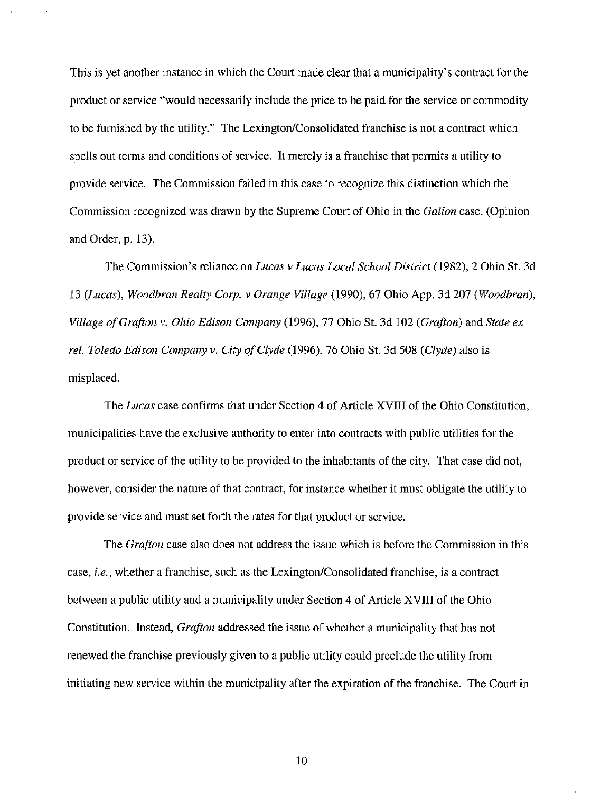This is yet another instance in which the Court made clear that a municipality's contract for the product or service "would necessarily include the price to be paid for the service or commodity to be furnished by the utility." The Lexington/Consolidated franchise is not a contract which spells out terms and conditions of service. It merely is a franchise that permits a utility to provide service. The Commission failed in this case to recognize this distinction which the Commission recognized was drawn by the Supreme Court of Ohio in the Galion case. (Opinion and Order, p. 13).

The Commission's reliance on Lucas v Lucas Local School District (1982), 2 Ohio St. 3d 13 (Lucas), Woodbran Realty Corp. v Orange Village (1990), 67 Ohio App. 3d 207 (Woodbran), Village of Grafton v. Ohio Edison Company (1996), 77 Ohio St. 3d 102 (Grafton) and State ex rel. Toledo Edison Company v. City of Clyde (1996), 76 Ohio St. 3d 508 (Clyde) also is misplaced.

The Lucas case confirms that under Section 4 of Article XVHI of the Ohio Constitution, municipalities have the exclusive authority to enter into contracts with public utilities for the product or service of the utility to be provided to the inhabitants of the city. That case did not, however, consider the nature of that contract, for instance whether it must obligate the utility to provide service and must set forth the rates for that product or service.

The *Grafton* case also does not address the issue which is before the Commission in this case, i.e., whether a franchise, such as the Lexington/Consolidated franchise, is a contract between a public utility and a municipality under Section 4 of Article XVIII of the Ohio Constitution. Instead, Grafton addressed the issue of whether a municipality that has not renewed the franchise previously given to a public utility could preclude the utility from initiating new service within the municipality after the expiration of the franchise. The Court in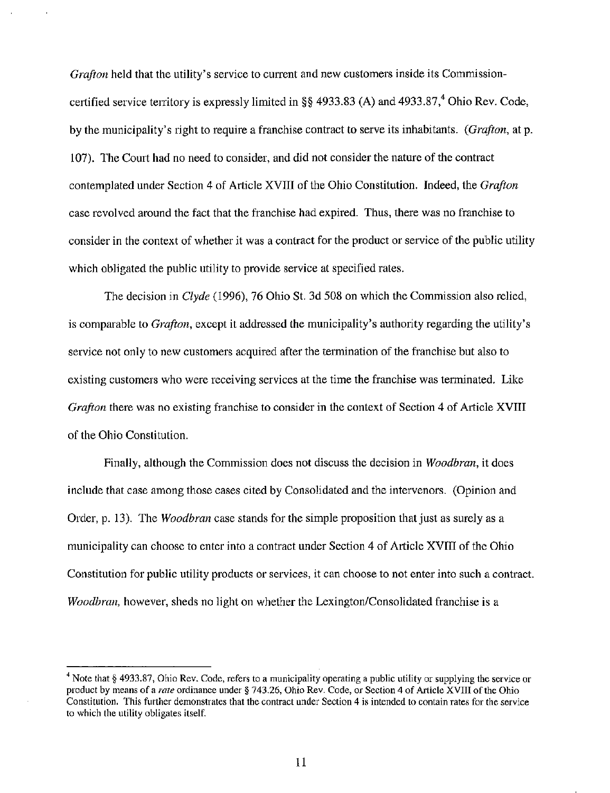Grafton held that the utility's service to current and new customers inside its Commissioncertified service territory is expressly limited in §§ 4933.83 (A) and 4933.87,<sup>4</sup> Ohio Rev. Code, by the municipality's right to require a franchise contract to serve its inhabitants. (Grafton, at p. 107). The Court had no need to consider, and did not consider the nature of the contract contemplated under Section 4 of Article XVIII of the Ohio Constitution. Indeed, the Grafton case revolved around the fact that the franchise had expired. Thus, there was no franchise to consider in the context of whether it was a contract for the product or service of the public utility which obligated the public utility to provide service at specified rates.

The decision in Clyde (1996), 76 Ohio St. 3d 508 on which the Commission also relied, is comparable to Grafton, except it addressed the municipality's authority regarding the utility's service not only to new customers acquired after the termination of the franchise but also to existing customers who were receiving services at the time the franchise was terminated. Like Grafton there was no existing franchise to consider in the context of Section 4 of Article XVIII of the Ohio Constitution.

Finally, although the Commission does not discuss the decision in Woodbran, it does include that case among those cases cited by Consolidated and the intervenors. (Opinion and Order, p. 13). The *Woodbran* case stands for the simple proposition that just as surely as a municipality can choose to enter into a contract under Section 4 of Article XVIII of the Ohio Constitution for public utility products or services, it can choose to not enter into such a contract. Woodbran, however, sheds no light on whether the Lexington/Consolidated franchise is a

<sup>&</sup>lt;sup>4</sup> Note that § 4933.87, Ohio Rev. Code, refers to a municipality operating a public utility or supplying the service or product by means of a rate ordinance under § 743.26, Ohio Rev. Code, or Section 4 of Article XVIII of the Ohio Constitution. This further demonstrates that the contract under Section 4 is intended to contain rates for the service to which the utility obligates itself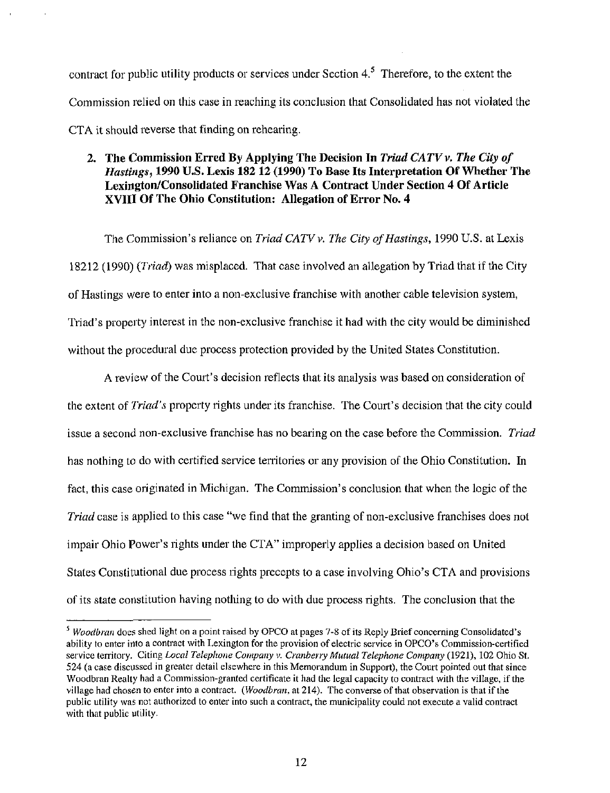contract for public utility products or services under Section  $4.5$  Therefore, to the extent the Commission relied on this case in reaching its conclusion that Consolidated has not violated the CTA it should reverse that finding on rehearing.

## 2. The Commission Erred By Applying The Decision In Triad CATV  $\nu$ . The City of Hastings, 1990 U.S. Lexis 182 12 (1990) To Base Its Interpretation Of Whether The Lexington/Consolidated Franchise Was A Contract Under Section 4 Of Article XVIII Of The Ohio Constitution: Allegation of Error No. 4

The Commission's reliance on Triad CATV v. The City of Hastings, 1990 U.S. at Lexis 18212 (1990) (Triad) was misplaced. That case involved an allegation by Triad that if the City of Hastings were to enter into a non-exclusive franchise with another cable television system. Triad's property interest in the non-exclusive franchise it had with the city would be diminished without the procedural due process protection provided by the United States Constitution.

A review of the Court's decision reflects that its analysis was based on consideration of the extent of Triad's property rights under its franchise. The Court's decision that the city could issue a second non-exclusive franchise has no bearing on the case before the Commission. Triad has nothing to do with certified service territories or any provision of the Ohio Constitution. In fact, this case originated in Michigan. The Commission's conclusion that when the logic of the *Triad* case is applied to this case "we find that the granting of non-exclusive franchises does not impair Ohio Power's rights under the CTA" improperly applies a decision based on United States Constitutional due process rights precepts to a case involving Ohio's CTA and provisions of its state constitution having nothing to do with due process rights. The conclusion that the

 $<sup>5</sup>$  Woodbran does shed light on a point raised by OPCO at pages 7-8 of its Reply Brief concerning Consolidated's</sup> ability to enter into a contract with Lexington for the provision of electric service in OPCO's Commission-certified service territory. Citing Local Telephone Company v. Cranberry Mutual Telephone Company (1921), 102 Ohio St. 524 (a case discussed in greater detail elsewhere in this Memorandum in Support), the Court pointed out that since Woodbran Realty had a Commission-granted certificate it had the legal capacity to contract with the village, if the village had chosen to enter into a contract. (Woodbran, at 214). The converse of that observation is that if the public utility was not authorized to enter into such a contract, the municipality could not execute a valid contract with that public utility.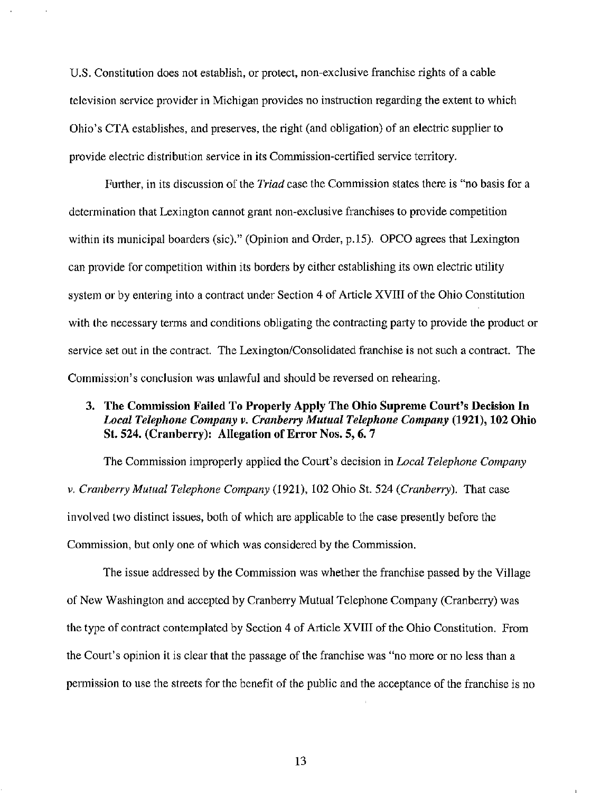U.S. Constitution does not establish, or protect, non-exclusive franchise rights of a cable television service provider in Michigan provides no instruction regarding the extent to which Ohio's CTA establishes, and preserves, the right (and obligation) of an electric supplier to provide electric distribution service in its Commission-certified service territory.

Further, in its discussion of the *Triad* case the Commission states there is "no basis for a determination that Lexington cannot grant non-exclusive franchises to provide competition within its municipal boarders (sic)." (Opinion and Order, p.15). OPCO agrees that Lexington can provide for competition within its borders by either establishing its own electric utility system or by entering into a contract under Section 4 of Article XVIII of the Ohio Constitution with the necessary terms and conditions obligating the contracting party to provide the product or service set out in the contract. The Lexington/Consolidated franchise is not such a contract. The Commission's conclusion was unlawful and should be reversed on rehearing.

# 3. The Commission Failed To Properly Apply The Ohio Supreme Court's Decision In Local Telephone Company v. Cranberry Mutual Telephone Company (1921), 102 Ohio St. 524. (Cranberry): Allegation of Error Nos. 5, 6. 7

The Commission improperly applied the Court's decision in *Local Telephone Company* V. Cranberry Mutual Telephone Company (1921), 102 Ohio St. 524 (Cranberry). That case involved two distinct issues, both of which are applicable to the case presentiy before the Commission, but only one of which was considered by the Commission.

The issue addressed by the Commission was whether the franchise passed by the Village of New Washington and accepted by Cranberry Mutual Telephone Company (Cranberry) was the type of contract contemplated by Section 4 of Article XVIII of the Ohio Constitution. From the Court's opinion it is clear that the passage of the franchise was "no more or no less than a permission to use the streets for the benefit of the public and the acceptance of the franchise is no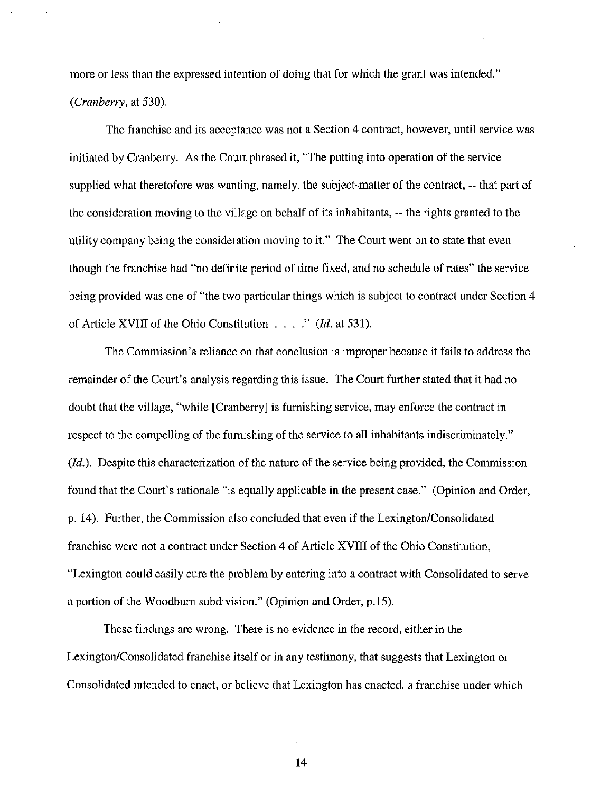more or less than the expressed intention of doing that for which the grant was intended." (Cranberry, at 530).

The franchise and its acceptance was not a Section 4 contract, however, until service was initiated by Cranberry. As the Court phrased it, "The putting into operation of the service supplied what theretofore was wanting, namely, the subject-matter of the contract, -- that part of the consideration moving to the village on behalf of its inhabitants, -- the rights granted to the utility company being the consideration moving to it." The Court went on to state that even though the franchise had "no definite period of time fixed, and no schedule of rates" the service being provided was one of "the two particular things which is subject to contract under Section 4 of Article XVIII of the Ohio Constitution . . . ." (Id. at 531).

The Commission's reliance on that conclusion is improper because it fails to address the remainder of the Court's analysis regarding this issue. The Court further stated that it had no doubt that the village, "while [Cranberry] is fumishing service, may enforce the contract in respect to the compelling of the fumishing of the service to all inhabitants indiscriminately." (*Id.*). Despite this characterization of the nature of the service being provided, the Commission found that the Court's rationale "is equally applicable in the present case." (Opinion and Order, p. 14). Further, the Commission also concluded that even if the Lexington/Consolidated franchise were not a contract under Section 4 of Article XVIII of the Ohio Constitution, "Lexington could easily cure the problem by entering into a contract with Consolidated to serve a portion of the Woodburn subdivision." (Opinion and Order, p.15).

These findings are wrong. There is no evidence in the record, either in the Lexington/Consolidated franchise itself or in any testimony, that suggests that Lexington or Consolidated intended to enact, or believe that Lexington has enacted, a franchise under which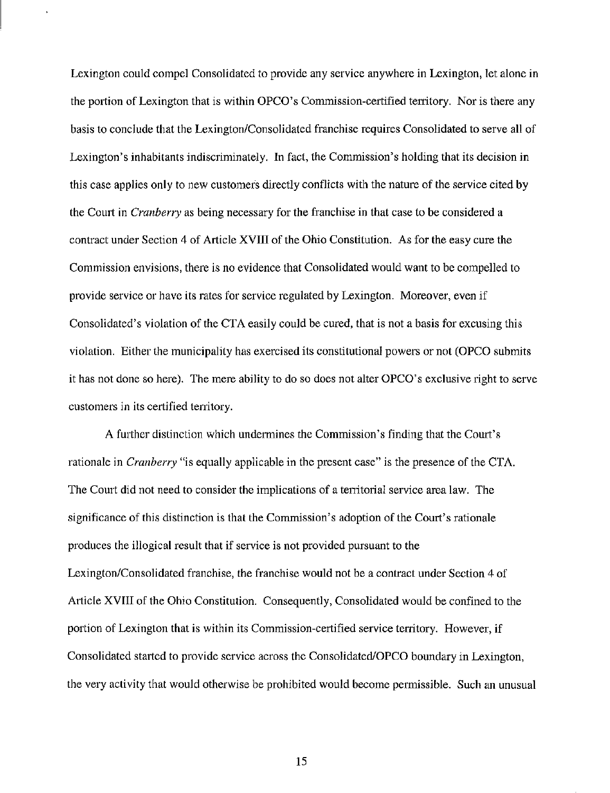Lexington could compel Consolidated to provide any service anywhere in Lexington, let alone in the portion of Lexington that is within OPCO's Commission-certified territory. Nor is there any basis to conclude that the Lexington/Consolidated franchise requires Consolidated to serve all of Lexington's inhabitants indiscriminately. In fact, the Commission's holding that its decision in this case applies only to new customers directly conflicts with the nature of the service cited by the Court in Cranberry as being necessary for the franchise in that case to be considered a contract under Section 4 of Article XVIII of the Ohio Constitution. As for the easy cure the Commission envisions, there is no evidence that Consolidated would want to be compelled to provide service or have its rates for service regulated by Lexington. Moreover, even if Consolidated's violation of the CTA easily could be cured, that is not a basis for excusing this violation. Either the municipality has exercised its constitutional powers or not (OPCO submits it has not done so here). The mere ability to do so does not alter OPCO's exclusive right to serve customers in its certified tenitory.

A further distinction which undermines the Commission's finding that the Court's rationale in *Cranberry* "is equally applicable in the present case" is the presence of the CTA. The Court did not need to consider the implications of a territorial service area law. The significance of this distinction is that the Commission's adoption of the Court's rationale produces the illogical result that if service is not provided pursuant to the Lexington/Consolidated franchise, the franchise would not be a contract under Section 4 of Article XVIII of the Ohio Constitution. Consequently, Consolidated would be confined to the portion of Lexington that is within its Commission-certified service territory. However, if Consolidated started to provide service across the Consolidated/OPCO boundary in Lexington, the very activity that would otherwise be prohibited would become permissible. Such an unusual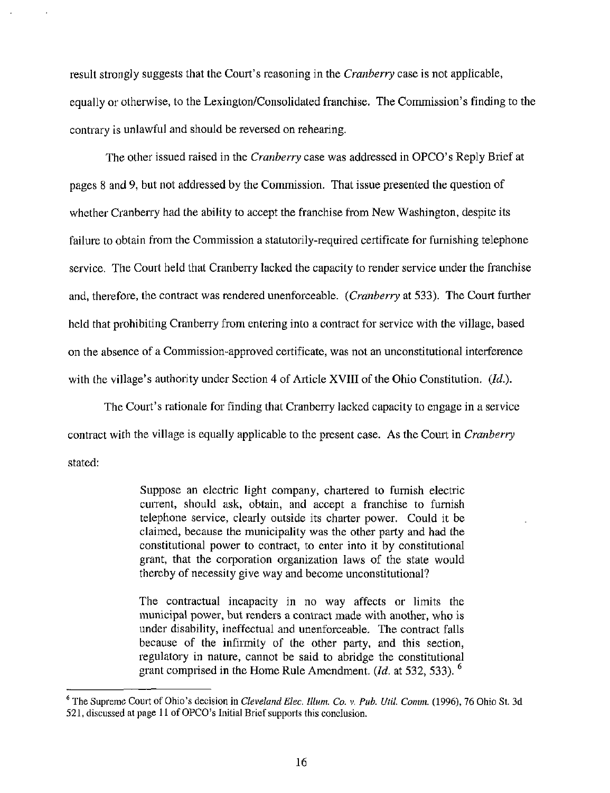result strongly suggests that the Court's reasoning in the *Cranberry* case is not applicable, equally or otherwise, to the Lexington/Consolidated franchise. The Commission's finding to the contrary is unlawful and should be reversed on rehearing.

The other issued raised in the *Cranberry* case was addressed in OPCO's Reply Brief at pages 8 and 9, but not addressed by the Commission. That issue presented the question of whether Cranberry had the ability to accept the franchise from New Washington, despite its failure to obtain from the Commission a statutorily-required certificate for fumishing telephone service. The Court held that Cranberry lacked the capacity to render service under the franchise and, therefore, the contract was rendered unenforceable. (Cranberry at 533). The Court further held that prohibiting Cranberry from entering into a contract for service with the village, based on the absence of a Commission-approved certificate, was not an unconstitutional interference with the village's authority under Section 4 of Article XVIII of the Ohio Constitution. (Id.).

The Court's rationale for finding that Cranberry lacked capacity to engage in a service contract with the village is equally applicable to the present case. As the Court in *Cranberry* stated:

> Suppose an electric light company, chartered to furnish electric cuirent, should ask, obtain, and accept a franchise to fumish telephone service, clearly outside its charter power. Could it be claimed, because the municipality was the other party and had the constitutional power to contract, to enter into it by constitutional grant, that the corporation organization laws of the state would thereby of necessity give way and become unconstitutional?

> The contractual incapacity in no way affects or limits the municipal power, but renders a contract made with another, who is under disability, ineffectual and unenforceable. The contract falls because of the infiimity of the other party, and this section, regulatory in nature, cannot be said to abridge the constitutional grant comprised in the Home Rule Amendment. (*Id.* at 532, 533).  $^{\circ}$

<sup>&</sup>lt;sup>6</sup> The Supreme Court of Ohio's decision in Cleveland Elec. Illum. Co. v. Pub. Util. Comm. (1996), 76 Ohio St. 3d 521, discussed at page 11 of OPCO's Initial Brief supports this conclusion.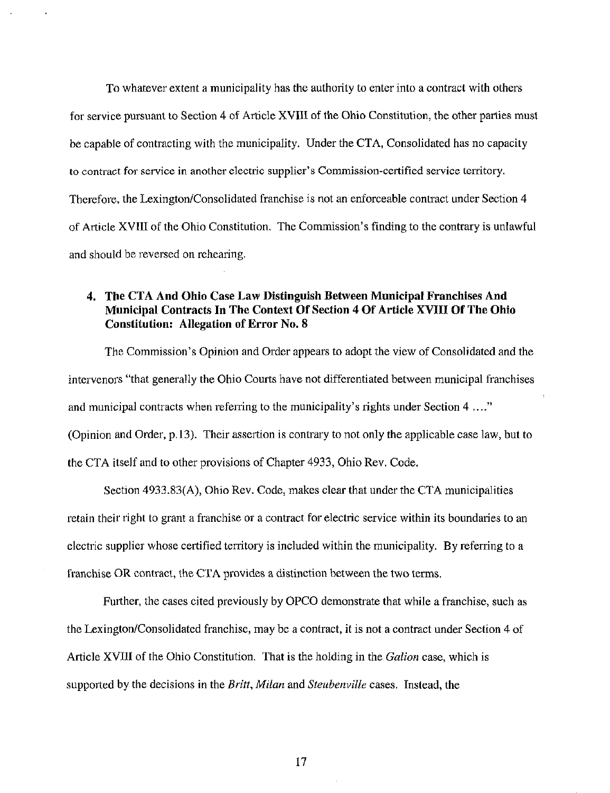To whatever extent a municipality has the authority to enter into a contract with others for service pursuant to Section 4 of Article XVIII of the Ohio Constitution, the other parties must be capable of contracting with the municipality. Under the CTA, Consolidated has no capacity to contract for service in another electric supplier's Commission-certified service territory. Therefore, the Lexington/Consolidated franchise is not an enforceable contract under Section 4 of Article XVIII of the Ohio Constitution. The Commission's finding to the contrary is unlawful and should be reversed on rehearing.

# 4. The CTA And Ohio Case Law Distinguish Between Municipal Franchises And Municipal Contracts In The Context Of Section 4 Of Article XVIII Of The Ohio Constitution: Allegation of Error No. 8

The Commission's Opinion and Order appears to adopt the view of Consolidated and the intervenors "that generally the Ohio Courts have not differentiated between municipal franchises and municipal contracts when referring to the municipality's rights under Section 4 ...." (Opinion and Order, p. 13). Their assertion is contrary to not only the applicable case law, but to the CTA itself and to other provisions of Chapter 4933, Ohio Rev. Code.

Section 4933.83(A), Ohio Rev. Code, makes clear that under the CTA municipalities retain their right to grant a franchise or a contract for electric service within its boundaries to an electric supplier whose certified territory is included within the municipality. By referring to a franchise OR contract, the CTA provides a distinction between the two terms.

Further, the cases cited previously by OPCO demonstrate that while a franchise, such as the Lexington/Consolidated franchise, may be a contract, it is not a contract under Section 4 of Article XVIII of the Ohio Constitution. That is the holding in the Galion case, which is supported by the decisions in the *Britt, Milan* and *Steubenville* cases. Instead, the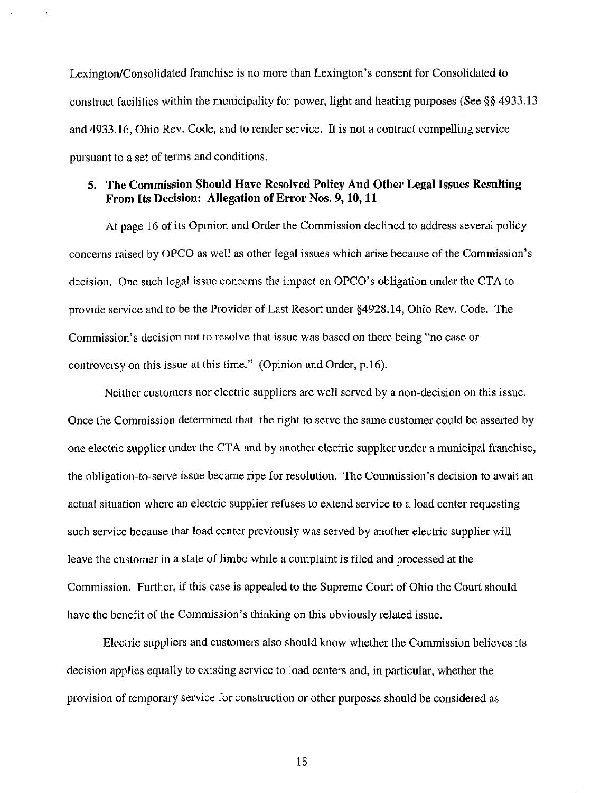Lexington/Consolidated franchise is no more than Lexington's consent for Consolidated to construct facilities within the municipality for power, tight and heating purposes (See §§ 4933.13 and 4933.16, Ohio Rev. Code, and to render service. It is not a contract compelling service pursuant to a set of terms and conditions.

### 5. The Commission Should Have Resolved Policy And Other Legal Issues Resulting From Its Decision: Allegation of Error Nos. 9,10,11

At page 16 of its Opinion and Order the Commission declined to address several policy concerns raised by OPCO as well as other legal issues which arise because of the Commission's decision. One such legal issue concems the impact on OPCO's obligation under the CTA to provide service and to be the Provider of Last Resort under §4928.14, Ohio Rev. Code. The Commission's decision not to resolve that issue was based on there being "no case or controversy on this issue at this time." (Opinion and Order, p.16).

Neither customers nor electric suppliers are well served by a non-decision on this issue. Once the Commission detennined that the right to serve the same customer could be asserted by one electric supplier under the CTA and by another electric supplier under a municipal franchise, the obligation-to-serve issue became ripe for resolution. The Commission's decision to await an actual situation where an electric supplier refuses to extend service to a load center requesting such service because that load center previously was served by another electric supplier will leave the customer in a state of limbo while a complaint is filed and processed at the Commission. Fuither, if this case is appealed to the Supreme Court of Ohio the Court should have the benefit of the Commission's thinking on this obviously related issue.

Electric suppliers and customers also should know whether the Commission believes its decision applies equally to existing service to load centers and, in particular, whether the provision of temporary service for construction or other purposes should be considered as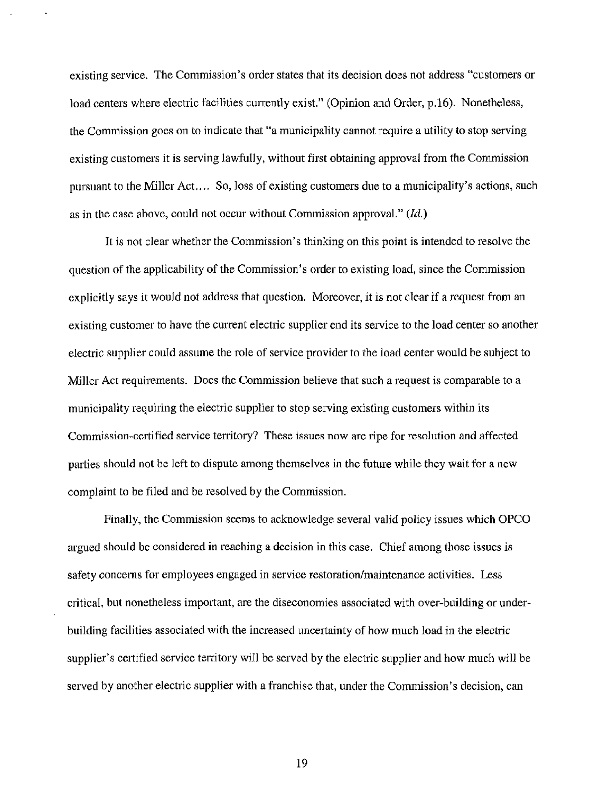existing service. The Commission's order states that its decision does not address "customers or load centers where electric facilities currently exist." (Opinion and Order, p.16). Nonetheless, the Commission goes on to indicate that "a municipality cannot require a utility to stop serving existing customers it is serving lawfully, without first obtaining approval from the Commission pursuant to the Miller Act.... So, loss of existing customers due to a municipality's actions, such as in the case above, could not occur without Commission approval."  $(Id.)$ 

It is not clear whether the Commission's thinking on this point is intended to resolve the question of the applicability of the Commission's order to existing load, since the Commission explicitly says it would not address that question. Moreover, it is not clear if a request from an existing customer to have the current electric supplier end its service to the load center so another electric supplier could assume the role of service provider to the load center would be subject to Miller Act requirements. Does the Commission believe that such a request is comparable to a municipality requiring the electric supplier to stop serving existing customers within its Commission-certified service territory? These issues now are ripe for resolution and affected parties should not be left to dispute among themselves in the future while they wait for a new complaint to be filed and be resolved by the Commission.

Finally, the Commission seems to acknowledge several valid policy issues which OPCO argued should be considered in reaching a decision in this case. Chief among those issues is safety concerns for employees engaged in service restoration/maintenance activities. Less critical, but nonetheless important, are the diseconomies associated with over-building or underbuilding facilities associated with the increased uncertainty of how much load in the electric supplier's certified service tenitory will be served by the electric supplier and how much will be served by another electric supplier with a franchise that, under the Commission's decision, can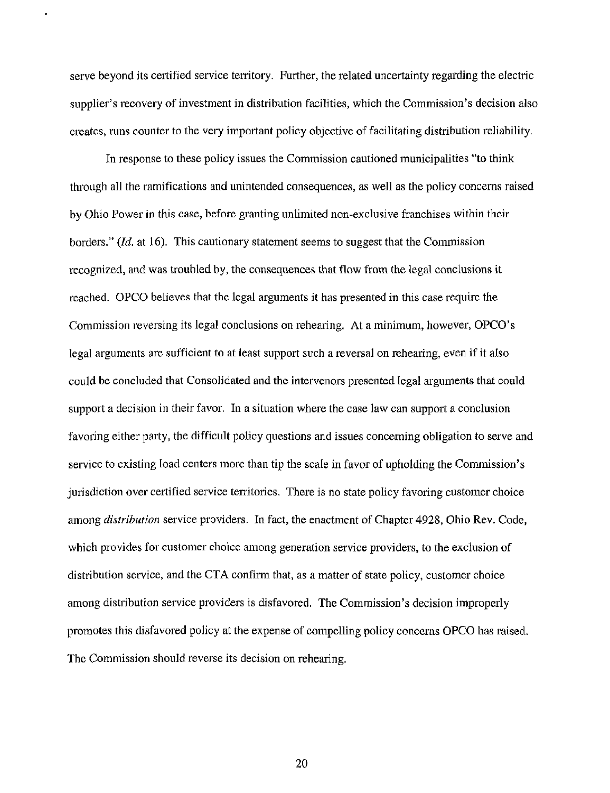serve beyond its certified service territory. Further, the related uncertainty regarding the electric supplier's recovery of investment in distribution facilities, which the Commission's decision also creates, runs counter to the very important policy objective of facilitating distribution reliability.

In response to these policy issues the Commission cautioned municipalities "to think through all the ramifications and unintended consequences, as well as the policy concems raised by Ohio Power in this case, before granting unlimited non-exclusive franchises within their borders." (Id. at 16). This cautionary statement seems to suggest that the Commission recognized, and was troubled by, the consequences that flow from the legal conclusions it reached. OPCO believes that the legal arguments it has presented in this case require the Commission reversing its legal conclusions on rehearing. At a minimum, however, OPCO's legal arguments are sufficient to at least support such a reversal on rehearing, even if it also could be concluded that Consolidated and the intervenors presented legal arguments that could support a decision in their favor. In a situation where the case law can support a conclusion favoring either party, the difficult policy questions and issues conceming obligation to serve and service to existing load centers more than tip the scale in favor of upholding the Commission's jurisdiction over certified service temitories. There is no state policy favoring customer choice among *distribution* service providers. In fact, the enactment of Chapter 4928, Ohio Rev. Code, which provides for customer choice among generation service providers, to the exclusion of distribution service, and the CTA confirm that, as a matter of state policy, customer choice among distribution service providers is disfavored. The Commission's decision improperly promotes this disfavored policy at the expense of compelling policy concems OPCO has raised. The Commission should reverse its decision on rehearing.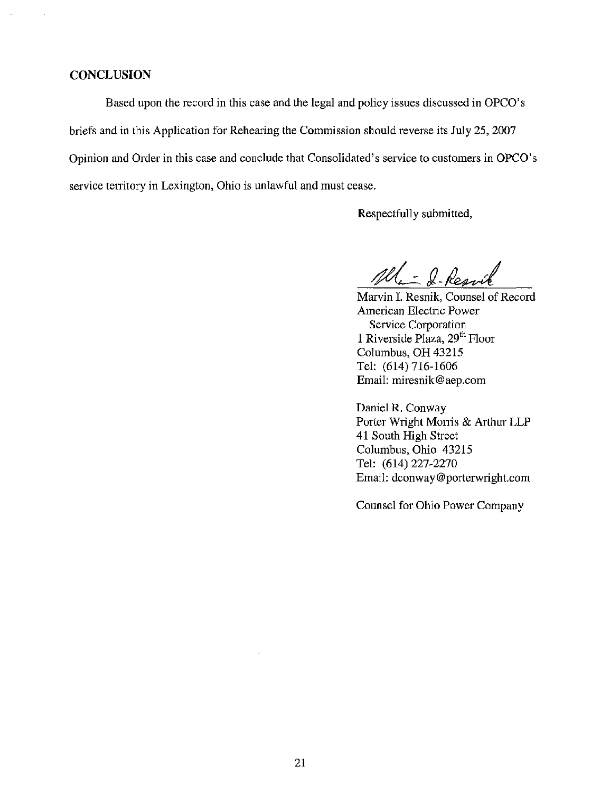#### **CONCLUSION**

Based upon the record in this case and the legal and policy issues discussed in OPCO's briefs and in this Application for Rehearing the Commission should reverse its July 25, 2007 Opinion and Order in this case and conclude that Consolidated's service to customers in OPCO's service territory in Lexington, Ohio is unlawful and must cease.

Respectfully submitted.

Ma - 2- Resvik

Marvin I. Resnik, Counsel of Record American Electric Power Service Corporation 1 Riverside Plaza, 29<sup>th</sup> Floor Columbus, OH 43215 Tel: (614) 716-1606 Email: [miresnik@aep.com](mailto:miresnik@aep.com) 

Daniel R. Conway Porter Wright Morris & Arthur LLP 41 South High Street Columbus, Ohio 43215 Tel: (614)227-2270 Email: [dconway@porterwright.com](mailto:dconway@porterwright.com) 

Counsel for Ohio Power Company